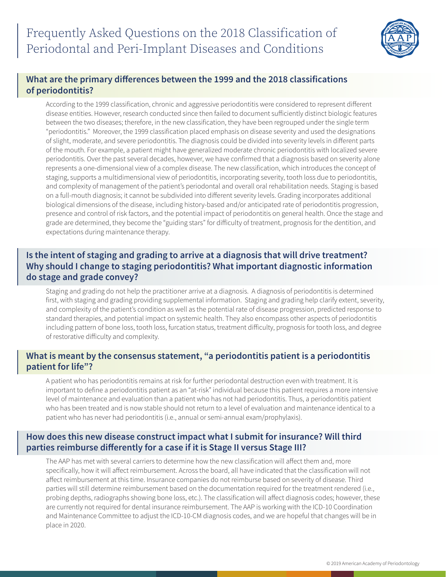

# **What are the primary differences between the 1999 and the 2018 classifications of periodontitis?**

 According to the 1999 classification, chronic and aggressive periodontitis were considered to represent different disease entities. However, research conducted since then failed to document sufficiently distinct biologic features between the two diseases; therefore, in the new classification, they have been regrouped under the single term "periodontitis." Moreover, the 1999 classification placed emphasis on disease severity and used the designations of slight, moderate, and severe periodontitis. The diagnosis could be divided into severity levels in different parts of the mouth. For example, a patient might have generalized moderate chronic periodontitis with localized severe periodontitis. Over the past several decades, however, we have confirmed that a diagnosis based on severity alone represents a one-dimensional view of a complex disease. The new classification, which introduces the concept of staging, supports a multidimensional view of periodontitis, incorporating severity, tooth loss due to periodontitis, and complexity of management of the patient's periodontal and overall oral rehabilitation needs. Staging is based on a full-mouth diagnosis; it cannot be subdivided into different severity levels. Grading incorporates additional biological dimensions of the disease, including history-based and/or anticipated rate of periodontitis progression, presence and control of risk factors, and the potential impact of periodontitis on general health. Once the stage and grade are determined, they become the "guiding stars" for difficulty of treatment, prognosis for the dentition, and expectations during maintenance therapy.

# **Is the intent of staging and grading to arrive at a diagnosis that will drive treatment? Why should I change to staging periodontitis? What important diagnostic information do stage and grade convey?**

 Staging and grading do not help the practitioner arrive at a diagnosis. A diagnosis of periodontitis is determined first, with staging and grading providing supplemental information. Staging and grading help clarify extent, severity, and complexity of the patient's condition as well as the potential rate of disease progression, predicted response to standard therapies, and potential impact on systemic health. They also encompass other aspects of periodontitis including pattern of bone loss, tooth loss, furcation status, treatment difficulty, prognosis for tooth loss, and degree of restorative difficulty and complexity.

# **What is meant by the consensus statement, "a periodontitis patient is a periodontitis patient for life"?**

A patient who has periodontitis remains at risk for further periodontal destruction even with treatment. It is important to define a periodontitis patient as an "at-risk" individual because this patient requires a more intensive level of maintenance and evaluation than a patient who has not had periodontitis. Thus, a periodontitis patient who has been treated and is now stable should not return to a level of evaluation and maintenance identical to a patient who has never had periodontitis (i.e., annual or semi-annual exam/prophylaxis).

# **How does this new disease construct impact what I submit for insurance? Will third parties reimburse differently for a case if it is Stage II versus Stage III?**

 The AAP has met with several carriers to determine how the new classification will affect them and, more specifically, how it will affect reimbursement. Across the board, all have indicated that the classification will not affect reimbursement at this time. Insurance companies do not reimburse based on severity of disease. Third parties will still determine reimbursement based on the documentation required for the treatment rendered (i.e., probing depths, radiographs showing bone loss, etc.). The classification will affect diagnosis codes; however, these are currently not required for dental insurance reimbursement. The AAP is working with the ICD-10 Coordination and Maintenance Committee to adjust the ICD-10-CM diagnosis codes, and we are hopeful that changes will be in place in 2020.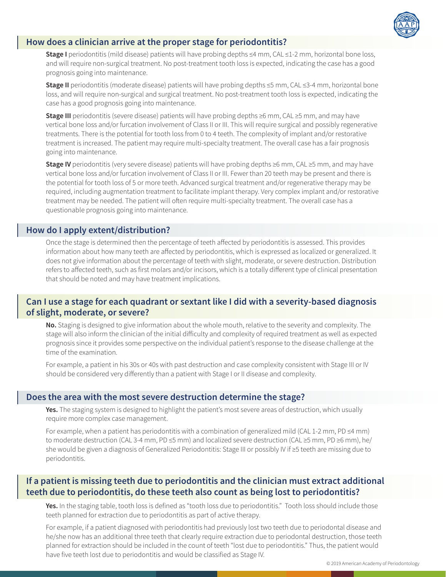

## **How does a clinician arrive at the proper stage for periodontitis?**

 **Stage I** periodontitis (mild disease) patients will have probing depths ≤4 mm, CAL ≤1-2 mm, horizontal bone loss, and will require non-surgical treatment. No post-treatment tooth loss is expected, indicating the case has a good prognosis going into maintenance.

**Stage II** periodontitis (moderate disease) patients will have probing depths ≤5 mm, CAL ≤3-4 mm, horizontal bone loss, and will require non-surgical and surgical treatment. No post-treatment tooth loss is expected, indicating the case has a good prognosis going into maintenance.

**Stage III** periodontitis (severe disease) patients will have probing depths ≥6 mm, CAL ≥5 mm, and may have vertical bone loss and/or furcation involvement of Class II or III. This will require surgical and possibly regenerative treatments. There is the potential for tooth loss from 0 to 4 teeth. The complexity of implant and/or restorative treatment is increased. The patient may require multi-specialty treatment. The overall case has a fair prognosis going into maintenance.

**Stage IV** periodontitis (very severe disease) patients will have probing depths ≥6 mm, CAL ≥5 mm, and may have vertical bone loss and/or furcation involvement of Class II or III. Fewer than 20 teeth may be present and there is the potential for tooth loss of 5 or more teeth. Advanced surgical treatment and/or regenerative therapy may be required, including augmentation treatment to facilitate implant therapy. Very complex implant and/or restorative treatment may be needed. The patient will often require multi-specialty treatment. The overall case has a questionable prognosis going into maintenance.

#### **How do I apply extent/distribution?**

Once the stage is determined then the percentage of teeth affected by periodontitis is assessed. This provides information about how many teeth are affected by periodontitis, which is expressed as localized or generalized. It does not give information about the percentage of teeth with slight, moderate, or severe destruction. Distribution refers to affected teeth, such as first molars and/or incisors, which is a totally different type of clinical presentation that should be noted and may have treatment implications.

## **Can I use a stage for each quadrant or sextant like I did with a severity-based diagnosis of slight, moderate, or severe?**

 **No.** Staging is designed to give information about the whole mouth, relative to the severity and complexity. The stage will also inform the clinician of the initial difficulty and complexity of required treatment as well as expected prognosis since it provides some perspective on the individual patient's response to the disease challenge at the time of the examination.

 For example, a patient in his 30s or 40s with past destruction and case complexity consistent with Stage III or IV should be considered very differently than a patient with Stage I or II disease and complexity.

#### **Does the area with the most severe destruction determine the stage?**

 **Yes.** The staging system is designed to highlight the patient's most severe areas of destruction, which usually require more complex case management.

For example, when a patient has periodontitis with a combination of generalized mild (CAL 1-2 mm, PD ≤4 mm) to moderate destruction (CAL 3-4 mm, PD ≤5 mm) and localized severe destruction (CAL ≥5 mm, PD ≥6 mm), he/ she would be given a diagnosis of Generalized Periodontitis: Stage III or possibly IV if ≥5 teeth are missing due to periodontitis.

# **If a patient is missing teeth due to periodontitis and the clinician must extract additional teeth due to periodontitis, do these teeth also count as being lost to periodontitis?**

 **Yes.** In the staging table, tooth loss is defined as "tooth loss due to periodontitis." Tooth loss should include those teeth planned for extraction due to periodontitis as part of active therapy.

 For example, if a patient diagnosed with periodontitis had previously lost two teeth due to periodontal disease and he/she now has an additional three teeth that clearly require extraction due to periodontal destruction, those teeth planned for extraction should be included in the count of teeth "lost due to periodontitis." Thus, the patient would have five teeth lost due to periodontitis and would be classified as Stage IV.